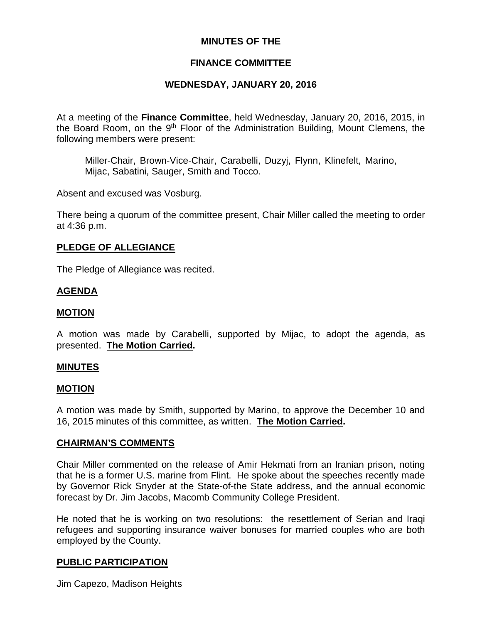## **MINUTES OF THE**

## **FINANCE COMMITTEE**

# **WEDNESDAY, JANUARY 20, 2016**

At a meeting of the **Finance Committee**, held Wednesday, January 20, 2016, 2015, in the Board Room, on the 9<sup>th</sup> Floor of the Administration Building, Mount Clemens, the following members were present:

Miller-Chair, Brown-Vice-Chair, Carabelli, Duzyj, Flynn, Klinefelt, Marino, Mijac, Sabatini, Sauger, Smith and Tocco.

Absent and excused was Vosburg.

There being a quorum of the committee present, Chair Miller called the meeting to order at 4:36 p.m.

### **PLEDGE OF ALLEGIANCE**

The Pledge of Allegiance was recited.

### **AGENDA**

### **MOTION**

A motion was made by Carabelli, supported by Mijac, to adopt the agenda, as presented. **The Motion Carried.**

### **MINUTES**

#### **MOTION**

A motion was made by Smith, supported by Marino, to approve the December 10 and 16, 2015 minutes of this committee, as written. **The Motion Carried.**

#### **CHAIRMAN'S COMMENTS**

Chair Miller commented on the release of Amir Hekmati from an Iranian prison, noting that he is a former U.S. marine from Flint. He spoke about the speeches recently made by Governor Rick Snyder at the State-of-the State address, and the annual economic forecast by Dr. Jim Jacobs, Macomb Community College President.

He noted that he is working on two resolutions: the resettlement of Serian and Iraqi refugees and supporting insurance waiver bonuses for married couples who are both employed by the County.

### **PUBLIC PARTICIPATION**

Jim Capezo, Madison Heights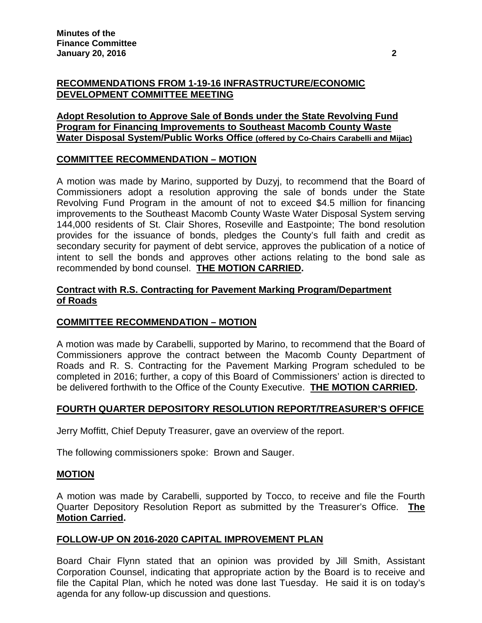# **RECOMMENDATIONS FROM 1-19-16 INFRASTRUCTURE/ECONOMIC DEVELOPMENT COMMITTEE MEETING**

# **Adopt Resolution to Approve Sale of Bonds under the State Revolving Fund Program for Financing Improvements to Southeast Macomb County Waste Water Disposal System/Public Works Office (offered by Co-Chairs Carabelli and Mijac)**

# **COMMITTEE RECOMMENDATION – MOTION**

A motion was made by Marino, supported by Duzyj, to recommend that the Board of Commissioners adopt a resolution approving the sale of bonds under the State Revolving Fund Program in the amount of not to exceed \$4.5 million for financing improvements to the Southeast Macomb County Waste Water Disposal System serving 144,000 residents of St. Clair Shores, Roseville and Eastpointe; The bond resolution provides for the issuance of bonds, pledges the County's full faith and credit as secondary security for payment of debt service, approves the publication of a notice of intent to sell the bonds and approves other actions relating to the bond sale as recommended by bond counsel. **THE MOTION CARRIED.**

# **Contract with R.S. Contracting for Pavement Marking Program/Department of Roads**

# **COMMITTEE RECOMMENDATION – MOTION**

A motion was made by Carabelli, supported by Marino, to recommend that the Board of Commissioners approve the contract between the Macomb County Department of Roads and R. S. Contracting for the Pavement Marking Program scheduled to be completed in 2016; further, a copy of this Board of Commissioners' action is directed to be delivered forthwith to the Office of the County Executive. **THE MOTION CARRIED.**

# **FOURTH QUARTER DEPOSITORY RESOLUTION REPORT/TREASURER'S OFFICE**

Jerry Moffitt, Chief Deputy Treasurer, gave an overview of the report.

The following commissioners spoke: Brown and Sauger.

# **MOTION**

A motion was made by Carabelli, supported by Tocco, to receive and file the Fourth Quarter Depository Resolution Report as submitted by the Treasurer's Office. **The Motion Carried.**

# **FOLLOW-UP ON 2016-2020 CAPITAL IMPROVEMENT PLAN**

Board Chair Flynn stated that an opinion was provided by Jill Smith, Assistant Corporation Counsel, indicating that appropriate action by the Board is to receive and file the Capital Plan, which he noted was done last Tuesday. He said it is on today's agenda for any follow-up discussion and questions.